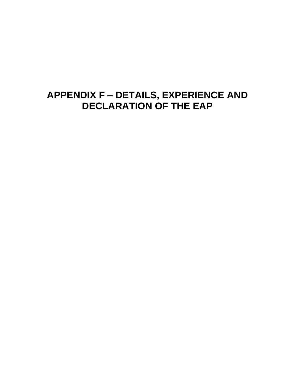### **APPENDIX F – DETAILS, EXPERIENCE AND DECLARATION OF THE EAP**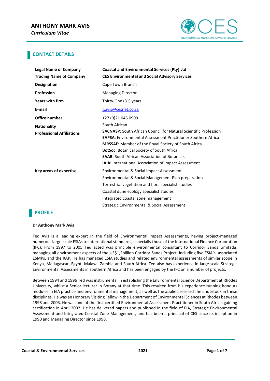

### **CONTACT DETAILS**

| <b>Legal Name of Company</b>     | <b>Coastal and Environmental Services (Pty) Ltd</b>                                                                                            |
|----------------------------------|------------------------------------------------------------------------------------------------------------------------------------------------|
| <b>Trading Name of Company</b>   | <b>CES Environmental and Social Advisory Services</b>                                                                                          |
| <b>Designation</b>               | Cape Town Branch                                                                                                                               |
| <b>Profession</b>                | <b>Managing Director</b>                                                                                                                       |
| <b>Years with firm</b>           | Thirty-One (31) years                                                                                                                          |
| E-mail                           | t.avis@cesnet.co.za                                                                                                                            |
| Office number                    | +27 (0) 21 045 0900                                                                                                                            |
| <b>Nationality</b>               | South African                                                                                                                                  |
| <b>Professional Affiliations</b> | <b>SACNASP:</b> South African Council for Natural Scientific Profession<br><b>EAPSA:</b> Environmental Assessment Practitioner Southern Africa |
|                                  | MRSSAF: Member of the Royal Society of South Africa                                                                                            |
|                                  | <b>BotSoc: Botanical Society of South Africa</b>                                                                                               |
|                                  | <b>SAAB:</b> South African Association of Botanists                                                                                            |
|                                  | <b>IAIA:</b> International Association of Impact Assessment                                                                                    |
| Key areas of expertise           | Environmental & Social Impact Assessment                                                                                                       |
|                                  | Environmental & Social Management Plan preparation                                                                                             |
|                                  | Terrestrial vegetation and flora specialist studies                                                                                            |
|                                  | Coastal dune ecology specialist studies                                                                                                        |
|                                  | Integrated coastal zone management                                                                                                             |
|                                  | Strategic Environmental & Social Assessment                                                                                                    |

### **PROFILE**

#### **Dr Anthony Mark Avis**

Ted Avis is a leading expert in the field of Environmental Impact Assessments, having project-managed numerous large-scale ESIAs to international standards, especially those of the International Finance Corporation (IFC). From 1997 to 2005 Ted acted was principle environmental consultant to Corridor Sands Limitada, managing all environment aspects of the US\$1,2billion Corridor Sands Project, including five ESIA's, associated ESMPs, and the RAP. He has managed ESIA studies and related environmental assessments of similar scope in Kenya, Madagascar, Egypt, Malawi, Zambia and South Africa. Ted also has experience in large scale Strategic Environmental Assessments in southern Africa and has been engaged by the IFC on a number of projects.

Between 1994 and 1996 Ted was instrumental in establishing the Environmental Science Department at Rhodes University, whilst a Senior lecturer in Botany at that time. This resulted from his experience running honours modules in EIA practice and environmental management, as well as the applied research he undertook in these disciplines. He was an Honorary Visiting Fellow in the Department of Environmental Sciences at Rhodes between 1998 and 2003. He was one of the first certified Environmental Assessment Practitioner in South Africa, gaining certification in April 2002. He has delivered papers and published in the field of EIA, Strategic Environmental Assessment and Integrated Coastal Zone Management, and has been a principal of CES since its inception in 1990 and Managing Director since 1998.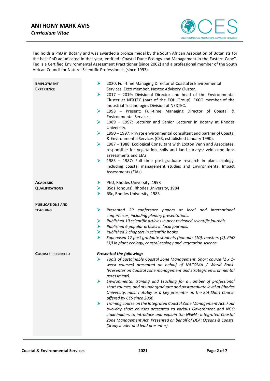### **ANTHONY MARK AVIS** *Curriculum Vitae*



Ted holds a PhD in Botany and was awarded a bronze medal by the South African Association of Botanists for the best PhD adjudicated in that year, entitled "Coastal Dune Ecology and Management in the Eastern Cape". Ted is a Certified Environmental Assessment Practitioner (since 2002) and a professional member of the South African Council for Natural Scientific Professionals (since 1993).

| <b>EMPLOYMENT</b><br><b>EXPERIENCE</b> | ➤<br>2020: Full-time Managing Director of Coastal & Environmental<br>Services. Exco member. Nextec Advisory Cluster.<br>2017 - 2019: Divisional Director and head of the Environmental<br>➤<br>Cluster at NEXTEC (part of the EOH Group). EXCO member of the<br>Industrial Technologies Division of NEXTEC.<br>➤<br>1998 - Present: Full-time Managing Director of Coastal &<br>Environmental Services.<br>➤<br>1989 - 1997: Lecturer and Senior Lecturer in Botany at Rhodes<br>University.<br>➤<br>1990 - 1997: Private environmental consultant and partner of Coastal<br>& Environmental Services (CES, established January 1990).<br>$\blacktriangleright$<br>1987 - 1988: Ecological Consultant with Loxton Venn and Associates,<br>responsible for vegetation, soils and land surveys; veld conditions<br>assessments and EIAs.<br>➤<br>1983 - 1987: Full time post-graduate research in plant ecology,<br>including coastal management studies and Environmental Impact<br>Assessments (EIAs). |
|----------------------------------------|--------------------------------------------------------------------------------------------------------------------------------------------------------------------------------------------------------------------------------------------------------------------------------------------------------------------------------------------------------------------------------------------------------------------------------------------------------------------------------------------------------------------------------------------------------------------------------------------------------------------------------------------------------------------------------------------------------------------------------------------------------------------------------------------------------------------------------------------------------------------------------------------------------------------------------------------------------------------------------------------------------|
| <b>ACADEMIC</b>                        | PhD, Rhodes University, 1993<br>➤                                                                                                                                                                                                                                                                                                                                                                                                                                                                                                                                                                                                                                                                                                                                                                                                                                                                                                                                                                      |
| <b>QUALIFICATIONS</b>                  | ➤<br>BSc (Honours), Rhodes University, 1984                                                                                                                                                                                                                                                                                                                                                                                                                                                                                                                                                                                                                                                                                                                                                                                                                                                                                                                                                            |
|                                        | ➤<br>BSc, Rhodes University, 1983                                                                                                                                                                                                                                                                                                                                                                                                                                                                                                                                                                                                                                                                                                                                                                                                                                                                                                                                                                      |
| <b>PUBLICATIONS AND</b>                |                                                                                                                                                                                                                                                                                                                                                                                                                                                                                                                                                                                                                                                                                                                                                                                                                                                                                                                                                                                                        |
| <b>TEACHING</b>                        | ➤<br>Presented 29 conference papers at local and international                                                                                                                                                                                                                                                                                                                                                                                                                                                                                                                                                                                                                                                                                                                                                                                                                                                                                                                                         |
|                                        | conferences, including plenary presentations.                                                                                                                                                                                                                                                                                                                                                                                                                                                                                                                                                                                                                                                                                                                                                                                                                                                                                                                                                          |
|                                        | Published 19 scientific articles in peer reviewed scientific journals.<br>➤                                                                                                                                                                                                                                                                                                                                                                                                                                                                                                                                                                                                                                                                                                                                                                                                                                                                                                                            |
|                                        | Published 6 popular articles in local journals.<br>➤<br>Published 2 chapters in scientific books.                                                                                                                                                                                                                                                                                                                                                                                                                                                                                                                                                                                                                                                                                                                                                                                                                                                                                                      |
|                                        | ➤<br>➤<br>Supervised 17 post graduate students (honours (10), masters (4), PhD                                                                                                                                                                                                                                                                                                                                                                                                                                                                                                                                                                                                                                                                                                                                                                                                                                                                                                                         |
|                                        | (3)) in plant ecology, coastal ecology and vegetation science.                                                                                                                                                                                                                                                                                                                                                                                                                                                                                                                                                                                                                                                                                                                                                                                                                                                                                                                                         |
| <b>COURSES PRESENTED</b>               | <b>Presented the following:</b>                                                                                                                                                                                                                                                                                                                                                                                                                                                                                                                                                                                                                                                                                                                                                                                                                                                                                                                                                                        |
|                                        | ⋗<br>Tools of Sustainable Coastal Zone Management. Short course (2 x 1-                                                                                                                                                                                                                                                                                                                                                                                                                                                                                                                                                                                                                                                                                                                                                                                                                                                                                                                                |
|                                        | week courses) presented on behalf of NACOMA / World Bank.                                                                                                                                                                                                                                                                                                                                                                                                                                                                                                                                                                                                                                                                                                                                                                                                                                                                                                                                              |
|                                        | (Presenter on Coastal zone management and strategic environmental                                                                                                                                                                                                                                                                                                                                                                                                                                                                                                                                                                                                                                                                                                                                                                                                                                                                                                                                      |
|                                        | assessment).<br>Environmental training and teaching for a number of professional<br>⋗                                                                                                                                                                                                                                                                                                                                                                                                                                                                                                                                                                                                                                                                                                                                                                                                                                                                                                                  |
|                                        | short courses, and at undergraduate and postgraduate level at Rhodes                                                                                                                                                                                                                                                                                                                                                                                                                                                                                                                                                                                                                                                                                                                                                                                                                                                                                                                                   |
|                                        | University, most notably as a key presenter on the EIA Short Course                                                                                                                                                                                                                                                                                                                                                                                                                                                                                                                                                                                                                                                                                                                                                                                                                                                                                                                                    |
|                                        | offered by CES since 2000                                                                                                                                                                                                                                                                                                                                                                                                                                                                                                                                                                                                                                                                                                                                                                                                                                                                                                                                                                              |
|                                        | Training course on the Integrated Coastal Zone Management Act. Four<br>➤                                                                                                                                                                                                                                                                                                                                                                                                                                                                                                                                                                                                                                                                                                                                                                                                                                                                                                                               |
|                                        | two-day short courses presented to various Government and NGO                                                                                                                                                                                                                                                                                                                                                                                                                                                                                                                                                                                                                                                                                                                                                                                                                                                                                                                                          |
|                                        | stakeholders to introduce and explain the NEMA: Integrated Coastal<br>Zone Management Act. Presented on behalf of DEA: Oceans & Coasts.                                                                                                                                                                                                                                                                                                                                                                                                                                                                                                                                                                                                                                                                                                                                                                                                                                                                |
|                                        | [Study leader and lead presenter).                                                                                                                                                                                                                                                                                                                                                                                                                                                                                                                                                                                                                                                                                                                                                                                                                                                                                                                                                                     |
|                                        |                                                                                                                                                                                                                                                                                                                                                                                                                                                                                                                                                                                                                                                                                                                                                                                                                                                                                                                                                                                                        |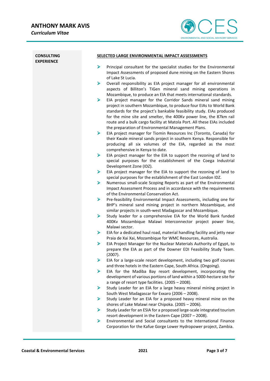

| <b>CONSULTING</b><br><b>EXPERIENCE</b> | SELECTED LARGE ENVIRONMENTAL IMPACT ASSESSMENTS                                                                                                                                                                                                                                                                                                                                                                                                                                                |  |
|----------------------------------------|------------------------------------------------------------------------------------------------------------------------------------------------------------------------------------------------------------------------------------------------------------------------------------------------------------------------------------------------------------------------------------------------------------------------------------------------------------------------------------------------|--|
|                                        | ➤<br>Principal consultant for the specialist studies for the Environmental<br>Impact Assessments of proposed dune mining on the Eastern Shores<br>of Lake St Lucia.<br>➤<br>Overall responsibility as EIA project manager for all environmental<br>aspects of Billiton's TiGen mineral sand mining operations in                                                                                                                                                                               |  |
|                                        | Mozambique, to produce an EIA that meets international standards.<br>➤<br>EIA project manager for the Corridor Sands mineral sand mining<br>project in southern Mozambique, to produce four EIAs to World Bank<br>standards for the project's bankable feasibility study. EIAs produced<br>for the mine site and smelter, the 400Kv power line, the 87km rail<br>route and a bulk cargo facility at Matola Port. All these EIAs included<br>the preparation of Environmental Management Plans. |  |
|                                        | ➤<br>EIA project manager for Tiomin Resources Inc (Toronto, Canada) for<br>their Kwale mineral sands project in southern Kenya. Responsible for<br>producing all six volumes of the EIA, regarded as the most<br>comprehensive in Kenya to date.                                                                                                                                                                                                                                               |  |
|                                        | ➤<br>EIA project manager for the EIA to support the rezoning of land to<br>special purposes for the establishment of the Coega Industrial<br>Development Zone (IDZ).                                                                                                                                                                                                                                                                                                                           |  |
|                                        | ➤<br>EIA project manager for the EIA to support the rezoning of land to                                                                                                                                                                                                                                                                                                                                                                                                                        |  |
|                                        | special purposes for the establishment of the East London IDZ.<br>➤<br>Numerous small-scale Scoping Reports as part of the Environmental<br>Impact Assessment Process and in accordance with the requirements<br>of the Environmental Conservation Act.                                                                                                                                                                                                                                        |  |
|                                        | ➤<br>Pre-feasibility Environmental Impact Assessments, including one for<br>BHP's mineral sand mining project in northern Mozambique, and<br>similar projects in south-west Madagascar and Mozambique.                                                                                                                                                                                                                                                                                         |  |
|                                        | Study leader for a comprehensive EIA for the World Bank funded<br>➤<br>400Kv Mozambique Malawi Interconnector project power line,<br>Malawi sector.                                                                                                                                                                                                                                                                                                                                            |  |
|                                        | ➤<br>EIA for a dedicated haul road, material handling facility and jetty near<br>Praia de Xai Xai, Mozambique for WMC Resources, Australia.                                                                                                                                                                                                                                                                                                                                                    |  |
|                                        | ➤<br>EIA Project Manager for the Nuclear Materials Authority of Egypt, to<br>prepare the EIA as part of the Downer EDI Feasibility Study Team.<br>(2007).                                                                                                                                                                                                                                                                                                                                      |  |
|                                        | ➤<br>EIA for a large-scale resort development, including two golf courses<br>and three hotels in the Eastern Cape, South Africa. (Ongoing).                                                                                                                                                                                                                                                                                                                                                    |  |
|                                        | EIA for the Madiba Bay resort development, incorporating the<br>➤<br>development of various portions of land within a 5000-hectare site for<br>a range of resort type facilities. (2005 - 2008).                                                                                                                                                                                                                                                                                               |  |
|                                        | Study Leader for an EIA for a large heavy mineral mining project in<br>➤                                                                                                                                                                                                                                                                                                                                                                                                                       |  |
|                                        | South West Madagascar for Exxaro (2006 - 2008).<br>Study Leader for an EIA for a proposed heavy mineral mine on the<br>⋗<br>shores of Lake Malawi near Chipoka. (2005 - 2006).                                                                                                                                                                                                                                                                                                                 |  |
|                                        | Study Leader for an ESIA for a proposed large-scale integrated tourism<br>➤<br>resort development in the Eastern Cape (2007 - 2008).                                                                                                                                                                                                                                                                                                                                                           |  |
|                                        | Environmental and Social consultants to the International Finance<br>➤<br>Corporation for the Kafue Gorge Lower Hydropower project, Zambia.                                                                                                                                                                                                                                                                                                                                                    |  |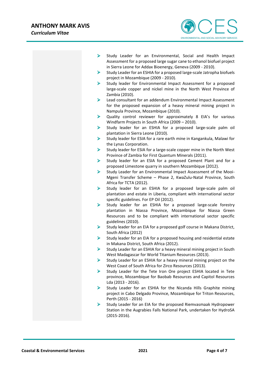

- ➢ Study Leader for an Environmental, Social and Health Impact Assessment for a proposed large sugar cane to ethanol biofuel project in Sierra Leone for Addax Bioenergy, Geneva (2009 - 2010).
- ➢ Study Leader for an ESHIA for a proposed large-scale Jatropha biofuels project in Mozambique (2009 - 2010).
- ➢ Study leader for Environmental Impact Assessment for a proposed large-scale copper and nickel mine in the North West Province of Zambia (2010).
- ➢ Lead consultant for an addendum Environmental Impact Assessment for the proposed expansion of a heavy mineral mining project in Nampula Province, Mozambique (2010).
- ➢ Quality control reviewer for approximately 8 EIA's for various Windfarm Projects in South Africa (2009 – 2010).
- ➢ Study leader for an ESHIA for a proposed large-scale palm oil plantation in Sierra Leone (2010).
- ➢ Study leader for ESIA for a rare earth mine in Kangankula, Malawi for the Lynas Corporation.
- ➢ Study leader for ESIA for a large-scale copper mine in the North West Province of Zambia for First Quantum Minerals (2011).
- ➢ Study leader for an ESIA for a proposed Cement Plant and for a proposed Limestone quarry in southern Mozambique (2012).
- ➢ Study Leader for an Environmental Impact Assessment of the Mooi-Mgeni Transfer Scheme – Phase 2, KwaZulu-Natal Province, South Africa for TCTA (2012).
- ➢ Study leader for an ESHIA for a proposed large-scale palm oil plantation and estate in Liberia, compliant with international sector specific guidelines. For EP Oil (2012).
- ➢ Study leader for an ESHIA for a proposed large-scale forestry plantation in Niassa Province, Mozambique for Niassa Green Resources and to be compliant with international sector specific guidelines (2010).
- ➢ Study leader for an EIA for a proposed golf course in Makana District, South Africa (2012)
- $\triangleright$  Study leader for an EIA for a proposed housing and residential estate in Makana District, South Africa (2012).
- ➢ Study Leader for an ESHIA for a heavy mineral mining project in South West Madagascar for World Titanium Resources (2013).
- $\triangleright$  Study Leader for an ESHIA for a heavy mineral mining project on the West Coast of South Africa for Zirco Resources (2013).
- ➢ Study Leader for the Tete Iron Ore project ESHIA located in Tete province, Mozambique for Baobab Resources and Capitol Resources Lda (2013 - 2016).
- ➢ Study Leader for an ESHIA for the Nicanda Hills Graphite mining project in Cabo Delgado Province, Mozambique for Triton Resources, Perth (2015 - 2016)
- ➢ Study Leader for an EIA for the proposed Riemvasmaak Hydropower Station in the Augrabies Falls National Park, undertaken for HydroSA (2015-2016).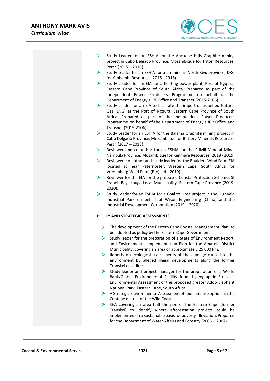

- ➢ Study Leader for an ESHIA for the Ancuabe Hills Graphite mining project in Cabo Delgado Province, Mozambique for Triton Resources, Perth (2015 – 2016)
- ➢ Study Leader for an ESHIA for a tin mine in North Kivu province, DRC for Alphamin Resources (2015 - 2016).
- $\triangleright$  Study Leader for an EIA for a floating power plant, Port of Ngqura, Eastern Cape Province of South Africa. Prepared as part of the Independent Power Producers Programme on behalf of the Department of Energy's IPP Office and Transnet (2015-2106).
- ➢ Study Leader for an EIA to facilitate the import of Liquefied Natural Gas (LNG) at the Port of Ngqura, Eastern Cape Province of South Africa. Prepared as part of the Independent Power Producers Programme on behalf of the Department of Energy's IPP Office and Transnet (2015-2106).
- $\triangleright$  Study Leader for an ESHIA for the Balama Graphite mining project in Cabo Delgado Province, Mozambique for Battery Minerals Resources, Perth (2017 – 2018)
- ➢ Reviewer and co-author for an ESHIA for the Pilivili Mineral Mine, Nampula Province, Mozambique for Kenmare Resources (2018 - 2019)
- ➢ Reviewer, co-author and study leader for the Boulders Wind Farm EIA located at near Paternoster, Western Cape, South Africa for Vredenberg Wind Farm (Pty) Ltd. (2019).
- ➢ Reviewer for the EIA for the proposed Coastal Protection Scheme, St Francis Bay, Kouga Local Municipality, Eastern Cape Province (2019- 2020).
- ➢ Study Leader for an ESHIA for a Coal to Urea project in the Highveld Industrial Park on behalf of Wison Engineering (China) and the Industrial Development Corporation (2019 – 2020).

#### **POLICY AND STRATEGIC ASSESSMENTS**

- ➢ The development of the Eastern Cape Coastal Management Plan, to be adopted as policy by the Eastern Cape Government
- $\triangleright$  Study leader for the preparation of a State of Environment Report, and Environmental Implementation Plan for the Amatole District Municipality, covering an area of approximately 25 000 km.
- ➢ Reports on ecological assessments of the damage caused to the environment by alleged illegal developments along the former Transkei coastline.
- ➢ Study leader and project manager for the preparation of a World Bank/Global Environmental Facility funded geographic Strategic Environmental Assessment of the proposed greater Addo Elephant National Park, Eastern Cape, South Africa.
- ➢ A Strategic Environmental Assessment of four land use options in the Centane district of the Wild Coast.
- ➢ SEA covering an area half the size of the Eastern Cape (former Transkei) to identify where afforestation projects could be implemented on a sustainable basis for poverty alleviation. Prepared for the Department of Water Affairs and Forestry (2006 – 2007).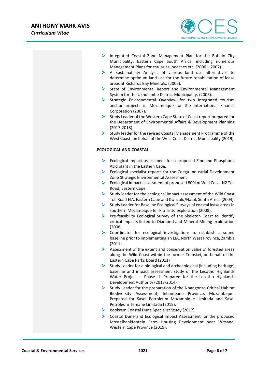

- ➢ Integrated Coastal Zone Management Plan for the Buffalo City Municipality, Eastern Cape South Africa, including numerous Management Plans for estuaries, beaches etc. (2006 – 2007).
- ➢ A Sustainability Analysis of various land use alternatives to determine optimum land use for the future rehabilitation of lease areas at Richards Bay Minerals. (2006).
- ➢ State of Environmental Report and Environmental Management System for the Ukhulambe District Municipality. (2005).
- ➢ Strategic Environmental Overview for two integrated tourism anchor projects in Mozambique for the International Finance Corporation (2007).
- ➢ Study Leader of the Western Cape State of Coast report prepared for the Department of Environmental Affairs & Development Planning (2017-2018).
- ➢ Study leader for the revised Coastal Management Programme of the West Coast, on behalf of the West Coast District Municipality (2019).

#### **ECOLOGICAL AND COASTAL**

- ➢ Ecological impact assessment for a proposed Zinc and Phosphoric Acid plant in the Eastern Cape.
- ➢ Ecological specialist reports for the Coega Industrial Development Zone Strategic Environmental Assessment
- ➢ Ecological impact assessment of proposed 800km Wild Coast N2 Toll Road, Eastern Cape.
- ➢ Study leader for the ecological impact assessment of the Wild Coast Toll Road EIA, Eastern Cape and Kwazulu/Natal, South Africa (2004).
- ➢ Study Leader for Baseline Ecological Surveys of coastal lease areas in southern Mozambique for Rio Tinto exploration (2008).
- ➢ Pre-feasibility Ecological Survey of the Skeleton Coast to identify critical impacts linked to Diamond and Mineral Mining exploration (2008).
- ➢ Coordinator for ecological investigations to establish a sound baseline prior to implementing an EIA, North West Province, Zambia (2011).
- ➢ Assessment of the extent and conservation value of forested areas along the Wild Coast within the former Transkei, on behalf of the Eastern Cape Parks Board (2011)
- $\triangleright$  Study Leader for a biological and archaeological (including heritage) baseline and impact assessment study of the Lesotho Highlands Water Project – Phase II. Prepared for the Lesotho Highlands Development Authority (2013-2014)
- ➢ Study Leader for the preparation of the Nhangonzo Critical Habitat Biodiversity Assessment, Inhambane Province, Mozambique. Prepared for Sasol Petroleum Mozambique Limitada and Sasol Petroleum Temane Limitada (2015).
- ➢ Bookram Coastal Dune Specialist Study (2017).
- ➢ Coastal Dune and Ecological Impact Assessment for the proposed Mosselbankfontein Farm Housing Development near Witsand, Western Cape Province (2019).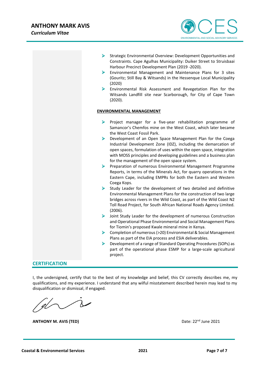

- ➢ Strategic Environmental Overview: Development Opportunities and Constraints. Cape Agulhas Municipality: Duiker Street to Struisbaai Harbour Precinct Development Plan (2019 -2020).
- ➢ Environmental Management and Maintenance Plans for 3 sites (Gouritz; Still Bay & Witsands) in the Hessenque Local Municipality (2020)
- ➢ Environmental Risk Assessment and Revegetation Plan for the Witsands Landfill site near Scarborough, for City of Cape Town (2020).

#### **ENVIRONMENTAL MANAGEMENT**

- ➢ Project manager for a five-year rehabilitation programme of Samancor's Chemfos mine on the West Coast, which later became the West Coast Fossil Park.
- ➢ Development of an Open Space Management Plan for the Coega Industrial Development Zone (IDZ), including the demarcation of open spaces, formulation of uses within the open space, integration with MOSS principles and developing guidelines and a business plan for the management of the open space system.
- ➢ Preparation of numerous Environmental Management Programme Reports, in terms of the Minerals Act, for quarry operations in the Eastern Cape, including EMPRs for both the Eastern and Western Coega Kops.
- $\triangleright$  Study Leader for the development of two detailed and definitive Environmental Management Plans for the construction of two large bridges across rivers in the Wild Coast, as part of the Wild Coast N2 Toll Road Project, for South African National Roads Agency Limited. (2006).
- ➢ Joint Study Leader for the development of numerous Construction and Operational Phase Environmental and Social Management Plans for Tiomin's proposed Kwale mineral mine in Kenya.
- ➢ Completion of numerous (>20) Environmental & Social Management Plans as part of the EIA process and ESIA deliverables.
- ➢ Development of a range of Standard Operating Procedures (SOPs) as part of the operational phase ESMP for a large-scale agricultural project.

#### **CERTIFICATION**

I, the undersigned, certify that to the best of my knowledge and belief, this CV correctly describes me, my qualifications, and my experience. I understand that any wilful misstatement described herein may lead to my disqualification or dismissal, if engaged.

**ANTHONY M. AVIS (TED) Date: 22<sup>nd</sup> June 2021**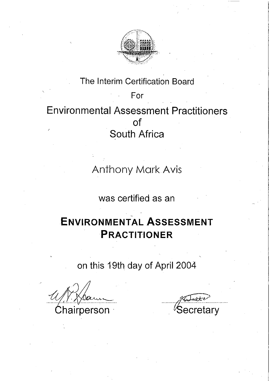

# The Interim Certification Board For **Environmental Assessment Practitioners of** South Africa

**Anthony Mark Avis** 

was certified as an

# **ENVIRONMENTAL ASSESSMENT PRACTITIONER**

on this 19th day of April 2004

Chairperson

Secretary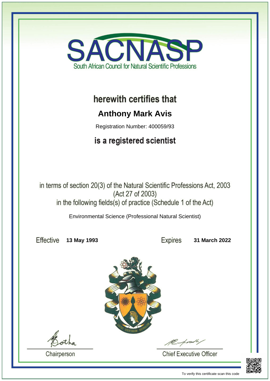

## herewith certifies that

## **Anthony Mark Avis**

Registration Number: 400059/93

## is a registered scientist

in terms of section 20(3) of the Natural Scientific Professions Act, 2003 (Act 27 of 2003) in the following fields(s) of practice (Schedule 1 of the Act)

Environmental Science (Professional Natural Scientist)

Effective

**13 May 1993 31 March 2022**



Chairperson

**Chief Executive Officer** 



To verify this certificate scan this code